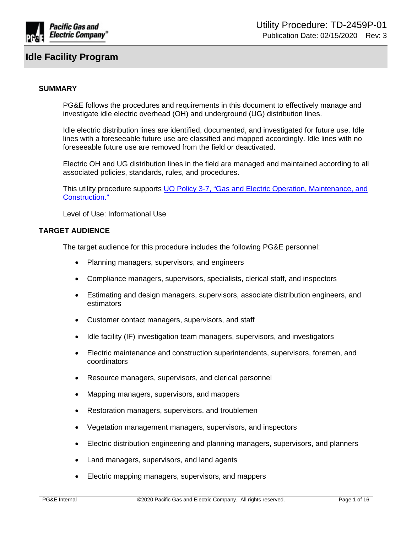

### **SUMMARY**

PG&E follows the procedures and requirements in this document to effectively manage and investigate idle electric overhead (OH) and underground (UG) distribution lines.

Idle electric distribution lines are identified, documented, and investigated for future use. Idle lines with a foreseeable future use are classified and mapped accordingly. Idle lines with no foreseeable future use are removed from the field or deactivated.

Electric OH and UG distribution lines in the field are managed and maintained according to all associated policies, standards, rules, and procedures.

This utility procedure supports UO Policy 3-7, "Gas and Electric Operation, Maintenance, and [Construction."](http://wwwedm3/cgi-bin/getdocTDM.asp?itemid=972030001)

Level of Use: Informational Use

### **TARGET AUDIENCE**

The target audience for this procedure includes the following PG&E personnel:

- Planning managers, supervisors, and engineers
- Compliance managers, supervisors, specialists, clerical staff, and inspectors
- Estimating and design managers, supervisors, associate distribution engineers, and estimators
- Customer contact managers, supervisors, and staff
- Idle facility (IF) investigation team managers, supervisors, and investigators
- Electric maintenance and construction superintendents, supervisors, foremen, and coordinators
- Resource managers, supervisors, and clerical personnel
- Mapping managers, supervisors, and mappers
- Restoration managers, supervisors, and troublemen
- Vegetation management managers, supervisors, and inspectors
- Electric distribution engineering and planning managers, supervisors, and planners
- Land managers, supervisors, and land agents
- Electric mapping managers, supervisors, and mappers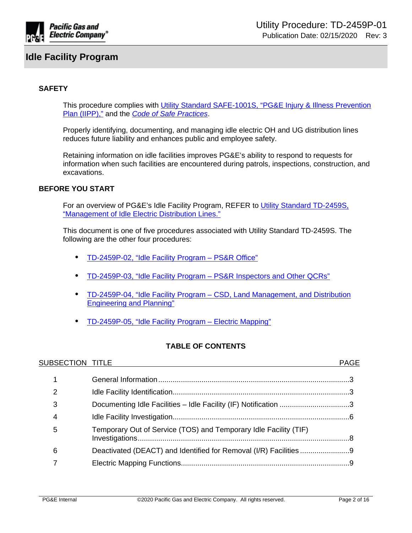

# **SAFETY**

This procedure complies with Utility Standard SAFE-1001S, "PG&E Injury & Illness Prevention [Plan \(IIPP\),"](https://edrm.comp.pge.com/D2/servlet/Download?auth=basic&event_name=open&version=PUBLISHED&id=09131aad8988b41e&_docbase=pge_ecm) and the *[Code of Safe Practices](http://pgeweb.utility.pge.com/safety/)*.

Properly identifying, documenting, and managing idle electric OH and UG distribution lines reduces future liability and enhances public and employee safety.

Retaining information on idle facilities improves PG&E's ability to respond to requests for information when such facilities are encountered during patrols, inspections, construction, and excavations.

# **BEFORE YOU START**

For an overview of PG&E's Idle Facility Program, REFER to [Utility Standard TD-2459S,](http://wwwedm3/cgi-bin/getdocTDM.asp?itemid=991970011)  ["Management of Idle Electric Distribution Lines."](http://wwwedm3/cgi-bin/getdocTDM.asp?itemid=991970011)

This document is one of five procedures associated with Utility Standard TD-2459S. The following are the other four procedures:

- [TD-2459P-02, "Idle Facility Program PS&R Office"](http://www/techlib/default.asp?body=manuals/uo_standards/TD2459P-02.htm)
- [TD-2459P-03, "Idle Facility Program PS&R Inspectors and Other QCRs"](http://www/techlib/default.asp?body=manuals/uo_standards/TD2459P-03.htm)
- [TD-2459P-04, "Idle Facility Program CSD, Land Management, and Distribution](http://www/techlib/default.asp?body=manuals/uo_standards/TD2459P-04.htm)  [Engineering and Planning"](http://www/techlib/default.asp?body=manuals/uo_standards/TD2459P-04.htm)
- [TD-2459P-05, "Idle Facility Program Electric Mapping"](http://www/techlib/default.asp?body=manuals/uo_standards/TD2459P-05.htm)

# **TABLE OF CONTENTS**

| SUBSECTION TITLE |                                                                  | <b>PAGE</b> |
|------------------|------------------------------------------------------------------|-------------|
|                  |                                                                  |             |
| 2                |                                                                  |             |
| 3                | Documenting Idle Facilities - Idle Facility (IF) Notification 3  |             |
| 4                |                                                                  |             |
| 5                | Temporary Out of Service (TOS) and Temporary Idle Facility (TIF) |             |
| 6                |                                                                  |             |
|                  |                                                                  |             |
|                  |                                                                  |             |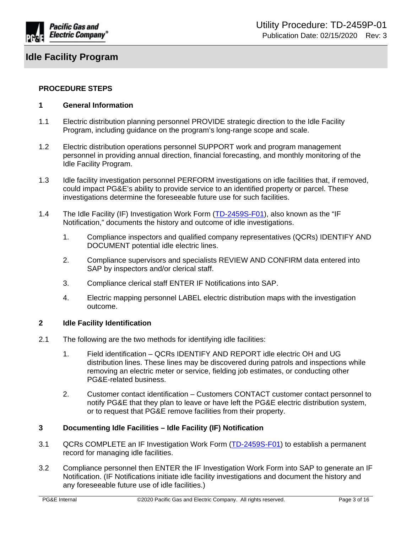

### **PROCEDURE STEPS**

#### <span id="page-2-0"></span>**1 General Information**

- 1.1 Electric distribution planning personnel PROVIDE strategic direction to the Idle Facility Program, including guidance on the program's long-range scope and scale.
- 1.2 Electric distribution operations personnel SUPPORT work and program management personnel in providing annual direction, financial forecasting, and monthly monitoring of the Idle Facility Program.
- 1.3 Idle facility investigation personnel PERFORM investigations on idle facilities that, if removed, could impact PG&E's ability to provide service to an identified property or parcel. These investigations determine the foreseeable future use for such facilities.
- 1.4 The Idle Facility (IF) Investigation Work Form ([TD-2459S-F01\)](http://wwwedm3/cgi-bin/getdocTDM.asp?itemid=005696191), also known as the "IF Notification," documents the history and outcome of idle investigations.
	- 1. Compliance inspectors and qualified company representatives (QCRs) IDENTIFY AND DOCUMENT potential idle electric lines.
	- 2. Compliance supervisors and specialists REVIEW AND CONFIRM data entered into SAP by inspectors and/or clerical staff.
	- 3. Compliance clerical staff ENTER IF Notifications into SAP.
	- 4. Electric mapping personnel LABEL electric distribution maps with the investigation outcome.

#### <span id="page-2-1"></span>**2 Idle Facility Identification**

- 2.1 The following are the two methods for identifying idle facilities:
	- 1. Field identification QCRs IDENTIFY AND REPORT idle electric OH and UG distribution lines. These lines may be discovered during patrols and inspections while removing an electric meter or service, fielding job estimates, or conducting other PG&E-related business.
	- 2. Customer contact identification Customers CONTACT customer contact personnel to notify PG&E that they plan to leave or have left the PG&E electric distribution system, or to request that PG&E remove facilities from their property.

#### <span id="page-2-2"></span>**3 Documenting Idle Facilities – Idle Facility (IF) Notification**

- 3.1 QCRs COMPLETE an IF Investigation Work Form [\(TD-2459S-F01\)](http://wwwedm3/cgi-bin/getdocTDM.asp?itemid=005696191) to establish a permanent record for managing idle facilities.
- 3.2 Compliance personnel then ENTER the IF Investigation Work Form into SAP to generate an IF Notification. (IF Notifications initiate idle facility investigations and document the history and any foreseeable future use of idle facilities.)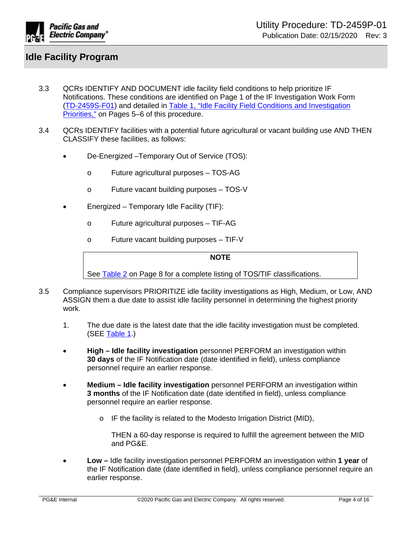

- 3.3 QCRs IDENTIFY AND DOCUMENT idle facility field conditions to help prioritize IF Notifications. These conditions are identified on Page 1 of the IF Investigation Work Form [\(TD-2459S-F01](http://wwwedm3/cgi-bin/getdocTDM.asp?itemid=005696191)) and detailed in [Table 1, "Idle Facility Field Conditions and Investigation](#page-4-0)  [Priorities,"](#page-4-0) on Pages 5–6 of this procedure.
- 3.4 QCRs IDENTIFY facilities with a potential future agricultural or vacant building use AND THEN CLASSIFY these facilities, as follows:
	- De-Energized –Temporary Out of Service (TOS):
		- o Future agricultural purposes TOS-AG
		- o Future vacant building purposes TOS-V
	- Energized Temporary Idle Facility (TIF):
		- o Future agricultural purposes TIF-AG
		- o Future vacant building purposes TIF-V

**NOTE**

See [Table 2](#page-7-1) on Page 8 for a complete listing of TOS/TIF classifications.

- 3.5 Compliance supervisors PRIORITIZE idle facility investigations as High, Medium, or Low, AND ASSIGN them a due date to assist idle facility personnel in determining the highest priority work.
	- 1. The due date is the latest date that the idle facility investigation must be completed. (SEE [Table 1](#page-4-0).)
	- **High Idle facility investigation** personnel PERFORM an investigation within **30 days** of the IF Notification date (date identified in field), unless compliance personnel require an earlier response.
	- **Medium Idle facility investigation** personnel PERFORM an investigation within **3 months** of the IF Notification date (date identified in field), unless compliance personnel require an earlier response.
		- o IF the facility is related to the Modesto Irrigation District (MID),

THEN a 60-day response is required to fulfill the agreement between the MID and PG&E.

 **Low –** Idle facility investigation personnel PERFORM an investigation within **1 year** of the IF Notification date (date identified in field), unless compliance personnel require an earlier response.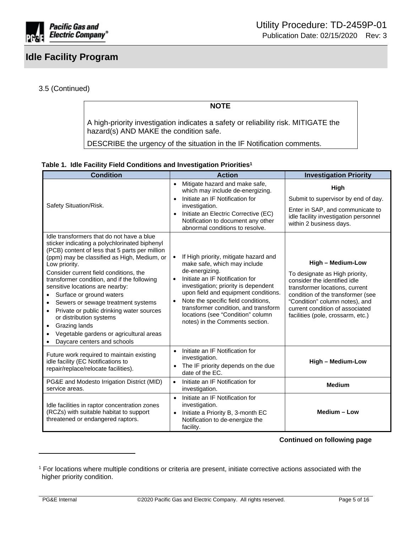

# 3.5 (Continued)

**NOTE**

A high-priority investigation indicates a safety or reliability risk. MITIGATE the hazard(s) AND MAKE the condition safe.

DESCRIBE the urgency of the situation in the IF Notification comments.

<span id="page-4-0"></span>

| Table 1. Idle Facility Field Conditions and Investigation Priorities <sup>1</sup> |  |
|-----------------------------------------------------------------------------------|--|
|-----------------------------------------------------------------------------------|--|

| <b>Condition</b>                                                                                                                                                                                                                                                                                                                                                                                                                                                                                                                                                                                       | <b>Action</b>                                                                                                                                                                                                                                                                                                                                                                                            | <b>Investigation Priority</b>                                                                                                                                                                                                                                        |
|--------------------------------------------------------------------------------------------------------------------------------------------------------------------------------------------------------------------------------------------------------------------------------------------------------------------------------------------------------------------------------------------------------------------------------------------------------------------------------------------------------------------------------------------------------------------------------------------------------|----------------------------------------------------------------------------------------------------------------------------------------------------------------------------------------------------------------------------------------------------------------------------------------------------------------------------------------------------------------------------------------------------------|----------------------------------------------------------------------------------------------------------------------------------------------------------------------------------------------------------------------------------------------------------------------|
| Safety Situation/Risk.                                                                                                                                                                                                                                                                                                                                                                                                                                                                                                                                                                                 | Mitigate hazard and make safe,<br>$\bullet$<br>which may include de-energizing.<br>Initiate an IF Notification for<br>$\bullet$<br>investigation.<br>Initiate an Electric Corrective (EC)<br>Notification to document any other<br>abnormal conditions to resolve.                                                                                                                                       | High<br>Submit to supervisor by end of day.<br>Enter in SAP, and communicate to<br>idle facility investigation personnel<br>within 2 business days.                                                                                                                  |
| Idle transformers that do not have a blue<br>sticker indicating a polychlorinated biphenyl<br>(PCB) content of less that 5 parts per million<br>(ppm) may be classified as High, Medium, or<br>Low priority.<br>Consider current field conditions, the<br>transformer condition, and if the following<br>sensitive locations are nearby:<br>Surface or ground waters<br>$\bullet$<br>Sewers or sewage treatment systems<br>Private or public drinking water sources<br>or distribution systems<br>Grazing lands<br>$\bullet$<br>Vegetable gardens or agricultural areas<br>Daycare centers and schools | If High priority, mitigate hazard and<br>$\bullet$<br>make safe, which may include<br>de-energizing.<br>Initiate an IF Notification for<br>$\bullet$<br>investigation; priority is dependent<br>upon field and equipment conditions.<br>Note the specific field conditions,<br>$\bullet$<br>transformer condition, and transform<br>locations (see "Condition" column<br>notes) in the Comments section. | High - Medium-Low<br>To designate as High priority,<br>consider the identified idle<br>transformer locations, current<br>condition of the transformer (see<br>"Condition" column notes), and<br>current condition of associated<br>facilities (pole, crossarm, etc.) |
| Future work required to maintain existing<br>idle facility (EC Notifications to<br>repair/replace/relocate facilities).                                                                                                                                                                                                                                                                                                                                                                                                                                                                                | Initiate an IF Notification for<br>$\bullet$<br>investigation.<br>The IF priority depends on the due<br>$\bullet$<br>date of the EC.                                                                                                                                                                                                                                                                     | <b>High - Medium-Low</b>                                                                                                                                                                                                                                             |
| PG&E and Modesto Irrigation District (MID)<br>service areas.                                                                                                                                                                                                                                                                                                                                                                                                                                                                                                                                           | Initiate an IF Notification for<br>$\bullet$<br>investigation.                                                                                                                                                                                                                                                                                                                                           | <b>Medium</b>                                                                                                                                                                                                                                                        |
| Idle facilities in raptor concentration zones<br>(RCZs) with suitable habitat to support<br>threatened or endangered raptors.                                                                                                                                                                                                                                                                                                                                                                                                                                                                          | Initiate an IF Notification for<br>$\bullet$<br>investigation.<br>Initiate a Priority B, 3-month EC<br>$\bullet$<br>Notification to de-energize the<br>facility.                                                                                                                                                                                                                                         | Medium - Low                                                                                                                                                                                                                                                         |

**Continued on following page**

<sup>1</sup> For locations where multiple conditions or criteria are present, initiate corrective actions associated with the higher priority condition.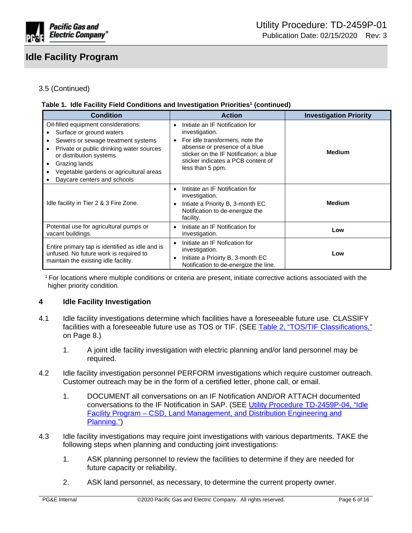

# 3.5 (Continued)

### **Table 1. Idle Facility Field Conditions and Investigation Priorities<sup>1</sup> (continued)**

| <b>Condition</b>                                                                                                                                                                                                                                                                                                     | <b>Action</b>                                                                                                                                                                                                                                       | <b>Investigation Priority</b> |
|----------------------------------------------------------------------------------------------------------------------------------------------------------------------------------------------------------------------------------------------------------------------------------------------------------------------|-----------------------------------------------------------------------------------------------------------------------------------------------------------------------------------------------------------------------------------------------------|-------------------------------|
| Oil-filled equipment considerations:<br>Surface or ground waters<br>$\bullet$<br>Sewers or sewage treatment systems<br>$\bullet$<br>Private or public drinking water sources<br>or distribution systems<br>Grazing lands<br>٠<br>Vegetable gardens or agricultural areas<br>$\bullet$<br>Daycare centers and schools | Initiate an IF Notification for<br>$\bullet$<br>investigation.<br>For idle transformers, note the<br>$\bullet$<br>absense or presence of a blue<br>sticker on the IF Notification; a blue<br>sticker indicates a PCB content of<br>less than 5 ppm. | Medium                        |
| Idle facility in Tier 2 & 3 Fire Zone.                                                                                                                                                                                                                                                                               | Intitate an IF Notification for<br>$\bullet$<br>investigation.<br>Intiate a Priority B, 3-month EC<br>Notification to de-energize the<br>facility.                                                                                                  | <b>Medium</b>                 |
| Potential use for agricultural pumps or<br>vacant buildings.                                                                                                                                                                                                                                                         | Initiate an IF Notification for<br>$\bullet$<br>investigation.                                                                                                                                                                                      | Low                           |
| Entire primary tap is identified as idle and is<br>unfused. No future work is required to<br>maintain the existing idle facility.                                                                                                                                                                                    | Initiate an IF Nofication for<br>$\bullet$<br>investigation.<br>Initiate a Prioirty B, 3-month EC<br>$\bullet$<br>Notification to de-energize the line.                                                                                             | Low                           |

<sup>1</sup>For locations where multiple conditions or criteria are present, initiate corrective actions associated with the higher priority condition.

#### <span id="page-5-0"></span>**4 Idle Facility Investigation**

- 4.1 Idle facility investigations determine which facilities have a foreseeable future use. CLASSIFY facilities with a foreseeable future use as TOS or TIF. (SEE [Table 2, "TOS/TIF Classifications,"](#page-7-1) on Page 8.)
	- 1. A joint idle facility investigation with electric planning and/or land personnel may be required.
- 4.2 Idle facility investigation personnel PERFORM investigations which require customer outreach. Customer outreach may be in the form of a certified letter, phone call, or email.
	- 1. DOCUMENT all conversations on an IF Notification AND/OR ATTACH documented conversations to the IF Notification in SAP. (SEE [Utility Procedure TD-2459P-04, "Idle](http://www/techlib/default.asp?body=manuals/uo_standards/TD2459P-04.htm)  [Facility Program – CSD, Land Management, and Distribution Engineering and](http://www/techlib/default.asp?body=manuals/uo_standards/TD2459P-04.htm)  [Planning."](http://www/techlib/default.asp?body=manuals/uo_standards/TD2459P-04.htm))
- 4.3 Idle facility investigations may require joint investigations with various departments. TAKE the following steps when planning and conducting joint investigations:
	- 1. ASK planning personnel to review the facilities to determine if they are needed for future capacity or reliability.
	- 2. ASK land personnel, as necessary, to determine the current property owner.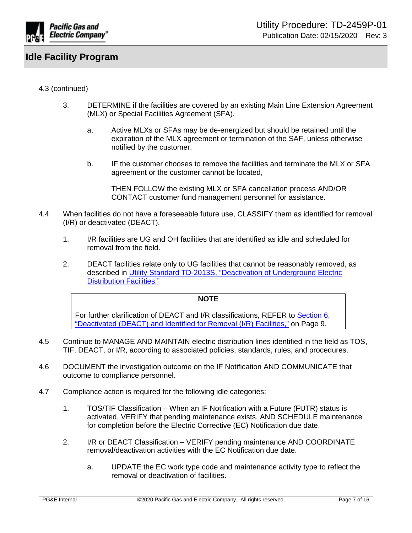

# 4.3 (continued)

- 3. DETERMINE if the facilities are covered by an existing Main Line Extension Agreement (MLX) or Special Facilities Agreement (SFA).
	- a. Active MLXs or SFAs may be de-energized but should be retained until the expiration of the MLX agreement or termination of the SAF, unless otherwise notified by the customer.
	- b. IF the customer chooses to remove the facilities and terminate the MLX or SFA agreement or the customer cannot be located,

THEN FOLLOW the existing MLX or SFA cancellation process AND/OR CONTACT customer fund management personnel for assistance.

- 4.4 When facilities do not have a foreseeable future use, CLASSIFY them as identified for removal (I/R) or deactivated (DEACT).
	- 1. I/R facilities are UG and OH facilities that are identified as idle and scheduled for removal from the field.
	- 2. DEACT facilities relate only to UG facilities that cannot be reasonably removed, as described in [Utility Standard TD-2013S, "Deactivation of Underground Electric](http://www/techlib/default.asp?body=manuals/uo_standards/s2013.htm)  [Distribution Facilities."](http://www/techlib/default.asp?body=manuals/uo_standards/s2013.htm)

#### **NOTE**

For further clarification of DEACT and I/R classifications, REFER to [Section 6,](#page-8-0)  ["Deactivated \(DEACT\) and Identified for Removal \(I/R\) Facilities,"](#page-8-0) on Page 9.

- 4.5 Continue to MANAGE AND MAINTAIN electric distribution lines identified in the field as TOS, TIF, DEACT, or I/R, according to associated policies, standards, rules, and procedures.
- 4.6 DOCUMENT the investigation outcome on the IF Notification AND COMMUNICATE that outcome to compliance personnel.
- 4.7 Compliance action is required for the following idle categories:
	- 1. TOS/TIF Classification When an IF Notification with a Future (FUTR) status is activated, VERIFY that pending maintenance exists, AND SCHEDULE maintenance for completion before the Electric Corrective (EC) Notification due date.
	- 2. I/R or DEACT Classification VERIFY pending maintenance AND COORDINATE removal/deactivation activities with the EC Notification due date.
		- a. UPDATE the EC work type code and maintenance activity type to reflect the removal or deactivation of facilities.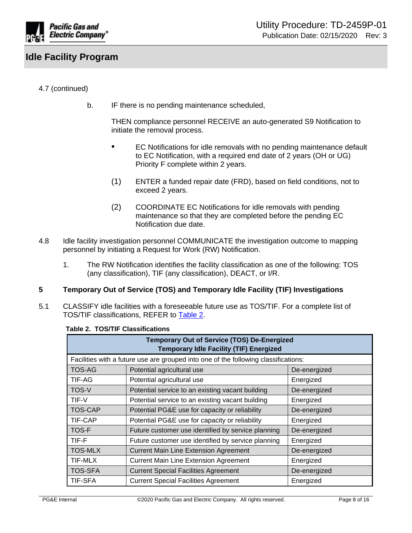

# 4.7 (continued)

b. IF there is no pending maintenance scheduled,

THEN compliance personnel RECEIVE an auto-generated S9 Notification to initiate the removal process.

- EC Notifications for idle removals with no pending maintenance default to EC Notification, with a required end date of 2 years (OH or UG) Priority F complete within 2 years.
- (1) ENTER a funded repair date (FRD), based on field conditions, not to exceed 2 years.
- (2) COORDINATE EC Notifications for idle removals with pending maintenance so that they are completed before the pending EC Notification due date.
- 4.8 Idle facility investigation personnel COMMUNICATE the investigation outcome to mapping personnel by initiating a Request for Work (RW) Notification.
	- 1. The RW Notification identifies the facility classification as one of the following: TOS (any classification), TIF (any classification), DEACT, or I/R.

### <span id="page-7-0"></span>**5 Temporary Out of Service (TOS) and Temporary Idle Facility (TIF) Investigations**

5.1 CLASSIFY idle facilities with a foreseeable future use as TOS/TIF. For a complete list of TOS/TIF classifications, REFER to [Table 2](#page-7-1).

| <b>Temporary Out of Service (TOS) De-Energized</b><br><b>Temporary Idle Facility (TIF) Energized</b> |                                                    |              |
|------------------------------------------------------------------------------------------------------|----------------------------------------------------|--------------|
| Facilities with a future use are grouped into one of the following classifications:                  |                                                    |              |
| <b>TOS-AG</b>                                                                                        | Potential agricultural use                         | De-energized |
| TIF-AG                                                                                               | Potential agricultural use                         | Energized    |
| <b>TOS-V</b>                                                                                         | Potential service to an existing vacant building   | De-energized |
| TIF-V                                                                                                | Potential service to an existing vacant building   | Energized    |
| <b>TOS-CAP</b>                                                                                       | Potential PG&E use for capacity or reliability     | De-energized |
| TIF-CAP                                                                                              | Potential PG&E use for capacity or reliability     | Energized    |
| <b>TOS-F</b>                                                                                         | Future customer use identified by service planning | De-energized |
| TIF-F                                                                                                | Future customer use identified by service planning | Energized    |
| <b>TOS-MLX</b>                                                                                       | <b>Current Main Line Extension Agreement</b>       | De-energized |
| TIF-MLX                                                                                              | <b>Current Main Line Extension Agreement</b>       | Energized    |
| <b>TOS-SFA</b>                                                                                       | <b>Current Special Facilities Agreement</b>        | De-energized |
| <b>TIF-SFA</b>                                                                                       | <b>Current Special Facilities Agreement</b>        | Energized    |

#### <span id="page-7-1"></span>**Table 2. TOS/TIF Classifications**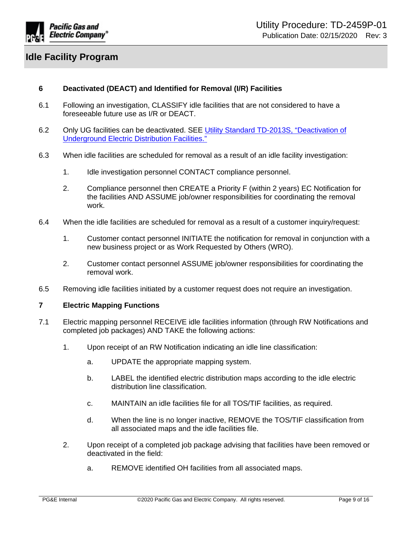

# <span id="page-8-0"></span>**6 Deactivated (DEACT) and Identified for Removal (I/R) Facilities**

- 6.1 Following an investigation, CLASSIFY idle facilities that are not considered to have a foreseeable future use as I/R or DEACT.
- 6.2 Only UG facilities can be deactivated. SEE [Utility Standard TD-2013S, "Deactivation of](http://www/techlib/default.asp?body=manuals/uo_standards/s2013.htm)  [Underground Electric Distribution Facilities."](http://www/techlib/default.asp?body=manuals/uo_standards/s2013.htm)
- 6.3 When idle facilities are scheduled for removal as a result of an idle facility investigation:
	- 1. Idle investigation personnel CONTACT compliance personnel.
	- 2. Compliance personnel then CREATE a Priority F (within 2 years) EC Notification for the facilities AND ASSUME job/owner responsibilities for coordinating the removal work.
- 6.4 When the idle facilities are scheduled for removal as a result of a customer inquiry/request:
	- 1. Customer contact personnel INITIATE the notification for removal in conjunction with a new business project or as Work Requested by Others (WRO).
	- 2. Customer contact personnel ASSUME job/owner responsibilities for coordinating the removal work.
- 6.5 Removing idle facilities initiated by a customer request does not require an investigation.

### <span id="page-8-1"></span>**7 Electric Mapping Functions**

- 7.1 Electric mapping personnel RECEIVE idle facilities information (through RW Notifications and completed job packages) AND TAKE the following actions:
	- 1. Upon receipt of an RW Notification indicating an idle line classification:
		- a. UPDATE the appropriate mapping system.
		- b. LABEL the identified electric distribution maps according to the idle electric distribution line classification.
		- c. MAINTAIN an idle facilities file for all TOS/TIF facilities, as required.
		- d. When the line is no longer inactive, REMOVE the TOS/TIF classification from all associated maps and the idle facilities file.
	- 2. Upon receipt of a completed job package advising that facilities have been removed or deactivated in the field:
		- a. REMOVE identified OH facilities from all associated maps.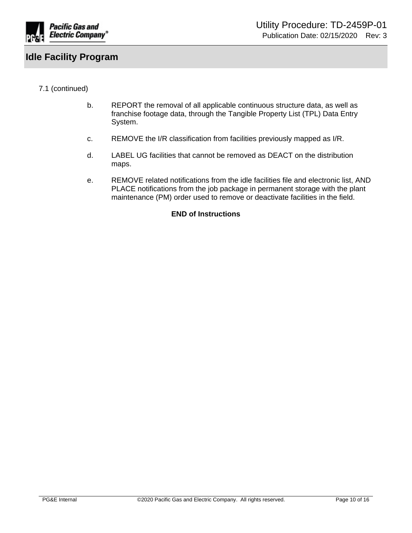

# 7.1 (continued)

- b. REPORT the removal of all applicable continuous structure data, as well as franchise footage data, through the Tangible Property List (TPL) Data Entry System.
- c. REMOVE the I/R classification from facilities previously mapped as I/R.
- d. LABEL UG facilities that cannot be removed as DEACT on the distribution maps.
- e. REMOVE related notifications from the idle facilities file and electronic list, AND PLACE notifications from the job package in permanent storage with the plant maintenance (PM) order used to remove or deactivate facilities in the field.

### **END of Instructions**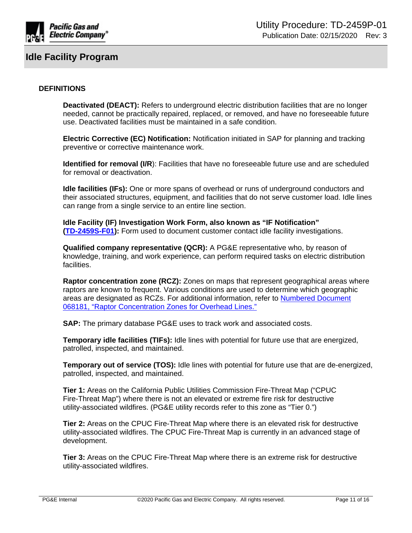

### **DEFINITIONS**

**Deactivated (DEACT):** Refers to underground electric distribution facilities that are no longer needed, cannot be practically repaired, replaced, or removed, and have no foreseeable future use. Deactivated facilities must be maintained in a safe condition.

**Electric Corrective (EC) Notification:** Notification initiated in SAP for planning and tracking preventive or corrective maintenance work.

**Identified for removal (I/R)**: Facilities that have no foreseeable future use and are scheduled for removal or deactivation.

**Idle facilities (IFs):** One or more spans of overhead or runs of underground conductors and their associated structures, equipment, and facilities that do not serve customer load. Idle lines can range from a single service to an entire line section.

**Idle Facility (IF) Investigation Work Form, also known as "IF Notification" [\(TD-2459S-F01](http://wwwedm3/cgi-bin/getdocTDM.asp?itemid=005696191)):** Form used to document customer contact idle facility investigations.

**Qualified company representative (QCR):** A PG&E representative who, by reason of knowledge, training, and work experience, can perform required tasks on electric distribution facilities.

**Raptor concentration zone (RCZ):** Zones on maps that represent geographical areas where raptors are known to frequent. Various conditions are used to determine which geographic areas are designated as RCZs. For additional information, refer to [Numbered Document](http://wwwedm3/cgi-bin/getdocTDM.asp?itemid=003718015)  [068181, "Raptor Concentration Zones for Overhead Lines."](http://wwwedm3/cgi-bin/getdocTDM.asp?itemid=003718015)

**SAP:** The primary database PG&E uses to track work and associated costs.

**Temporary idle facilities (TIFs):** Idle lines with potential for future use that are energized, patrolled, inspected, and maintained.

**Temporary out of service (TOS):** Idle lines with potential for future use that are de-energized, patrolled, inspected, and maintained.

**Tier 1:** Areas on the California Public Utilities Commission Fire-Threat Map ("CPUC Fire-Threat Map") where there is not an elevated or extreme fire risk for destructive utility-associated wildfires. (PG&E utility records refer to this zone as "Tier 0.")

**Tier 2:** Areas on the CPUC Fire-Threat Map where there is an elevated risk for destructive utility-associated wildfires. The CPUC Fire-Threat Map is currently in an advanced stage of development.

**Tier 3:** Areas on the CPUC Fire-Threat Map where there is an extreme risk for destructive utility-associated wildfires.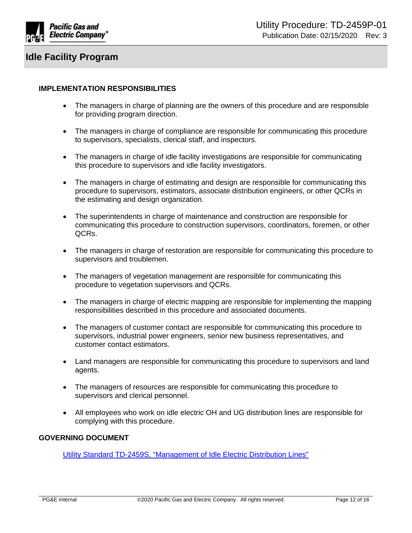

### **IMPLEMENTATION RESPONSIBILITIES**

- The managers in charge of planning are the owners of this procedure and are responsible for providing program direction.
- The managers in charge of compliance are responsible for communicating this procedure to supervisors, specialists, clerical staff, and inspectors.
- The managers in charge of idle facility investigations are responsible for communicating this procedure to supervisors and idle facility investigators.
- The managers in charge of estimating and design are responsible for communicating this procedure to supervisors, estimators, associate distribution engineers, or other QCRs in the estimating and design organization.
- The superintendents in charge of maintenance and construction are responsible for communicating this procedure to construction supervisors, coordinators, foremen, or other QCRs.
- The managers in charge of restoration are responsible for communicating this procedure to supervisors and troublemen.
- The managers of vegetation management are responsible for communicating this procedure to vegetation supervisors and QCRs.
- The managers in charge of electric mapping are responsible for implementing the mapping responsibilities described in this procedure and associated documents.
- The managers of customer contact are responsible for communicating this procedure to supervisors, industrial power engineers, senior new business representatives, and customer contact estimators.
- Land managers are responsible for communicating this procedure to supervisors and land agents.
- The managers of resources are responsible for communicating this procedure to supervisors and clerical personnel.
- All employees who work on idle electric OH and UG distribution lines are responsible for complying with this procedure.

# **GOVERNING DOCUMENT**

[Utility Standard TD-2459S, "Management of Idle Electric Distribution Lines"](http://www/techlib/default.asp?body=manuals/uo_standards/s2459.htm)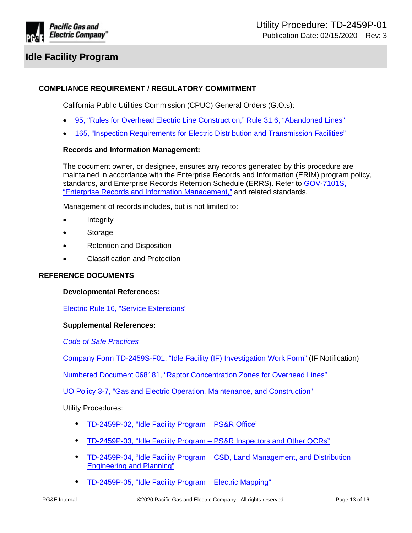

# **COMPLIANCE REQUIREMENT / REGULATORY COMMITMENT**

California Public Utilities Commission (CPUC) General Orders (G.O.s):

- [95, "Rules for Overhead Electric Line Construction," Rule 31.6, "Abandoned Lines"](http://docs.cpuc.ca.gov/PublishedDocs/Published/G000/M217/K418/217418779.pdf)
- [165, "Inspection Requirements for Electric Distribution and Transmission Facilities"](http://docs.cpuc.ca.gov/PublishedDocs/Published/G000/M209/K552/209552704.pdf)

#### **Records and Information Management:**

The document owner, or designee, ensures any records generated by this procedure are maintained in accordance with the Enterprise Records and Information (ERIM) program policy, standards, and Enterprise Records Retention Schedule (ERRS). Refer to [GOV-7101S,](https://edrm.comp.pge.com/D2/servlet/Download?auth=basic&event_name=open&version=PUBLISHED&id=09131aad892834e3&format=pdf&_docbase=pge_ecm)  ["Enterprise Records and Information Management,"](https://edrm.comp.pge.com/D2/servlet/Download?auth=basic&event_name=open&version=PUBLISHED&id=09131aad892834e3&format=pdf&_docbase=pge_ecm) and related standards.

Management of records includes, but is not limited to:

- Integrity
- Storage
- Retention and Disposition
- Classification and Protection

#### **REFERENCE DOCUMENTS**

#### **Developmental References:**

[Electric Rule 16, "Service Extensions"](https://www.pge.com/tariffs/assets/pdf/tariffbook/ELEC_RULES_16.pdf)

#### **Supplemental References:**

*[Code of Safe Practices](http://pgeweb.utility.pge.com/safety/)*

[Company Form TD-2459S-F01, "Idle Facility \(IF\) Investigation Work Form"](http://wwwedm3/cgi-bin/getdocTDM.asp?itemid=005696191) (IF Notification)

[Numbered Document 068181, "Raptor Concentration Zones for Overhead Lines"](http://wwwedm3/cgi-bin/getdocTDM.asp?itemid=003718015)

[UO Policy 3-7, "Gas and Electric Operation, Maintenance, and Construction"](http://wwwedm3/cgi-bin/getdocTDM.asp?itemid=972030001)

Utility Procedures:

- [TD-2459P-02, "Idle Facility Program PS&R Office"](http://www/techlib/default.asp?body=manuals/uo_standards/TD2459P-02.htm)
- [TD-2459P-03, "Idle Facility Program PS&R Inspectors and Other QCRs"](http://www/techlib/default.asp?body=manuals/uo_standards/TD2459P-03.htm)
- [TD-2459P-04, "Idle Facility Program CSD, Land Management, and Distribution](http://www/techlib/default.asp?body=manuals/uo_standards/TD2459P-04.htm)  [Engineering and Planning"](http://www/techlib/default.asp?body=manuals/uo_standards/TD2459P-04.htm)
- [TD-2459P-05, "Idle Facility Program Electric Mapping"](http://www/techlib/default.asp?body=manuals/uo_standards/TD2459P-05.htm)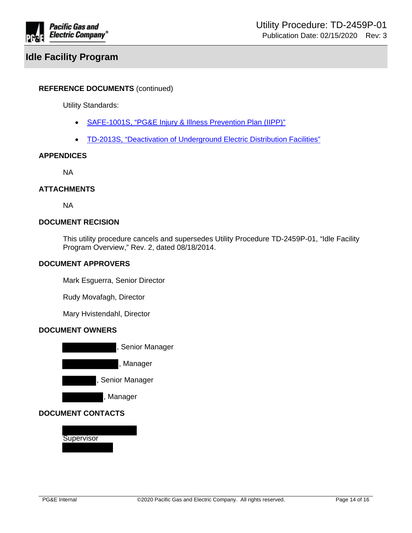

### **REFERENCE DOCUMENTS** (continued)

Utility Standards:

- [SAFE-1001S, "PG&E Injury & Illness Prevention Plan \(IIPP\)"](https://edrm.comp.pge.com/D2/servlet/Download?auth=basic&event_name=open&version=PUBLISHED&id=09131aad8988b41e&_docbase=pge_ecm)
- [TD-2013S, "Deactivation of Underground Electric Distribution Facilities"](http://www/techlib/default.asp?body=manuals/uo_standards/s2013.htm)

#### **APPENDICES**

NA

#### **ATTACHMENTS**

NA

# **DOCUMENT RECISION**

This utility procedure cancels and supersedes Utility Procedure TD-2459P-01, "Idle Facility Program Overview," Rev. 2, dated 08/18/2014.

### **DOCUMENT APPROVERS**

Mark Esguerra, Senior Director

Rudy Movafagh, Director

Mary Hvistendahl, Director

### **DOCUMENT OWNERS**



# **DOCUMENT CONTACTS**

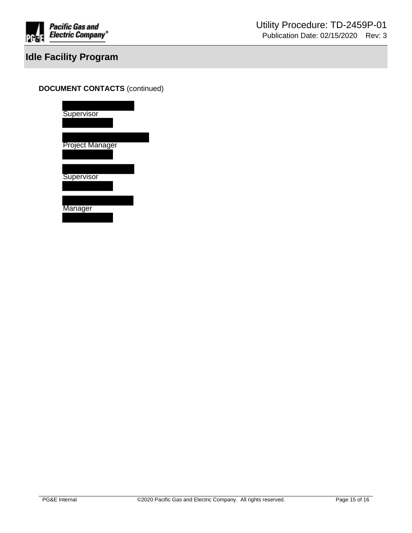

# **DOCUMENT CONTACTS** (continued)

| Supervisor             |  |
|------------------------|--|
| <b>Project Manager</b> |  |
| Supervisor             |  |
| Manager                |  |